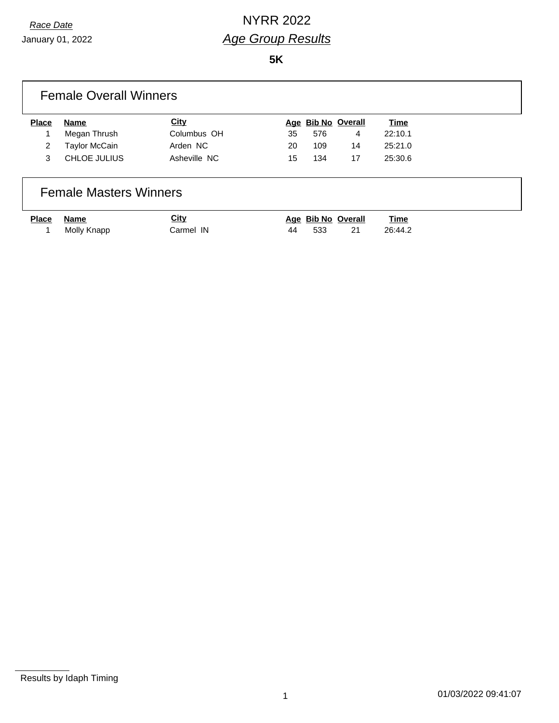January 01, 2022

**5K**

|                | <b>Female Overall Winners</b> |              |     |     |                       |         |  |
|----------------|-------------------------------|--------------|-----|-----|-----------------------|---------|--|
| <b>Place</b>   | <b>Name</b>                   | <b>City</b>  |     |     | Age Bib No Overall    | Time    |  |
|                | Megan Thrush                  | Columbus OH  | 35  | 576 | 4                     | 22:10.1 |  |
| $\overline{2}$ | Taylor McCain                 | Arden NC     | 20  | 109 | 14                    | 25:21.0 |  |
| 3              | CHLOE JULIUS                  | Asheville NC | 15  | 134 | 17                    | 25:30.6 |  |
|                | <b>Female Masters Winners</b> |              |     |     |                       |         |  |
| <b>Place</b>   | Name                          | City         | Aae |     | <b>Bib No Overall</b> | Time    |  |

1 Molly Knapp **Carmel IN** 44 533 21 26:44.2

Results by Idaph Timing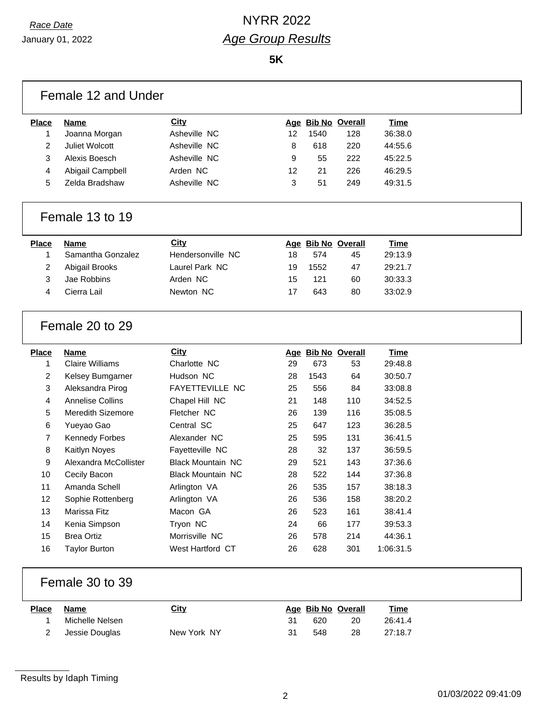January 01, 2022

|              | Female 12 and Under      |                          |    |      |                    |             |  |
|--------------|--------------------------|--------------------------|----|------|--------------------|-------------|--|
| <b>Place</b> | <b>Name</b>              | City                     |    |      | Age Bib No Overall | <b>Time</b> |  |
| 1            | Joanna Morgan            | Asheville NC             | 12 | 1540 | 128                | 36:38.0     |  |
| 2            | Juliet Wolcott           | Asheville NC             | 8  | 618  | 220                | 44:55.6     |  |
| 3            | Alexis Boesch            | Asheville NC             | 9  | 55   | 222                | 45:22.5     |  |
| 4            | Abigail Campbell         | Arden NC                 | 12 | 21   | 226                | 46:29.5     |  |
| 5            | Zelda Bradshaw           | Asheville NC             | 3  | 51   | 249                | 49:31.5     |  |
|              | Female 13 to 19          |                          |    |      |                    |             |  |
| <b>Place</b> | <b>Name</b>              | <b>City</b>              |    |      | Age Bib No Overall | Time        |  |
| 1            | Samantha Gonzalez        | Hendersonville NC        | 18 | 574  | 45                 | 29:13.9     |  |
| 2            | Abigail Brooks           | Laurel Park NC           | 19 | 1552 | 47                 | 29:21.7     |  |
| 3            | Jae Robbins              | Arden NC                 | 15 | 121  | 60                 | 30:33.3     |  |
| 4            | Cierra Lail              | Newton NC                | 17 | 643  | 80                 | 33:02.9     |  |
|              | Female 20 to 29          |                          |    |      |                    |             |  |
| <b>Place</b> | <b>Name</b>              | <b>City</b>              |    |      | Age Bib No Overall | <b>Time</b> |  |
| 1            | <b>Claire Williams</b>   | Charlotte NC             | 29 | 673  | 53                 | 29:48.8     |  |
| 2            | Kelsey Bumgarner         | Hudson NC                | 28 | 1543 | 64                 | 30:50.7     |  |
| 3            | Aleksandra Pirog         | FAYETTEVILLE NC          | 25 | 556  | 84                 | 33:08.8     |  |
| 4            | <b>Annelise Collins</b>  | Chapel Hill NC           | 21 | 148  | 110                | 34:52.5     |  |
| 5            | <b>Meredith Sizemore</b> | Fletcher NC              | 26 | 139  | 116                | 35:08.5     |  |
| 6            | Yueyao Gao               | Central SC               | 25 | 647  | 123                | 36:28.5     |  |
| 7            | <b>Kennedy Forbes</b>    | Alexander NC             | 25 | 595  | 131                | 36:41.5     |  |
| 8            | Kaitlyn Noyes            | Fayetteville NC          | 28 | 32   | 137                | 36:59.5     |  |
| 9            | Alexandra McCollister    | <b>Black Mountain NC</b> | 29 | 521  | 143                | 37:36.6     |  |
| 10           | Cecily Bacon             | <b>Black Mountain NC</b> | 28 | 522  | 144                | 37:36.8     |  |
| 11           | Amanda Schell            | Arlington VA             | 26 | 535  | 157                | 38:18.3     |  |
| 12           | Sophie Rottenberg        | Arlington VA             | 26 | 536  | 158                | 38:20.2     |  |
| 13           | Marissa Fitz             | Macon GA                 | 26 | 523  | 161                | 38:41.4     |  |
| 14           | Kenia Simpson            | Tryon NC                 | 24 | 66   | 177                | 39:53.3     |  |
| 15           | <b>Brea Ortiz</b>        | Morrisville NC           | 26 | 578  | 214                | 44:36.1     |  |
| 16           | <b>Taylor Burton</b>     | West Hartford CT         | 26 | 628  | 301                | 1:06:31.5   |  |
|              | Female 30 to 39          |                          |    |      |                    |             |  |
| <b>Place</b> | <b>Name</b>              | <b>City</b>              |    |      | Age Bib No Overall | <b>Time</b> |  |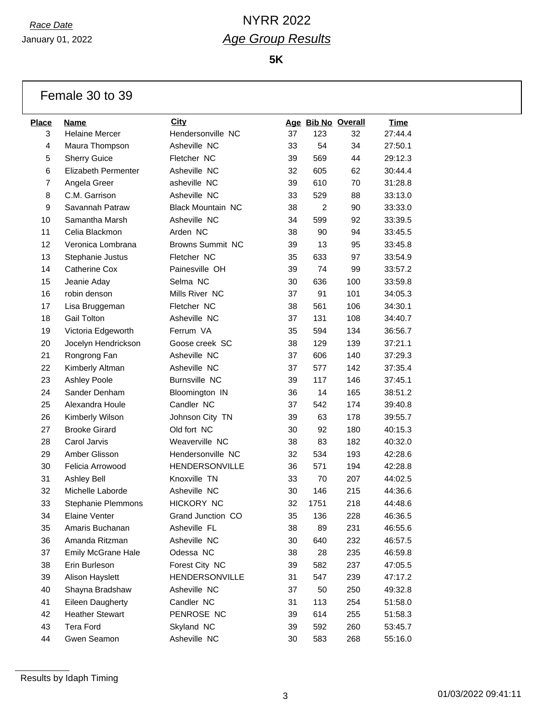January 01, 2022

**5K**

### Female 30 to 39

| <b>Place</b>   | <b>Name</b>                | City                     |    |      | Age Bib No Overall | <b>Time</b> |
|----------------|----------------------------|--------------------------|----|------|--------------------|-------------|
| 3              | <b>Helaine Mercer</b>      | Hendersonville NC        | 37 | 123  | 32                 | 27:44.4     |
| 4              | Maura Thompson             | Asheville NC             | 33 | 54   | 34                 | 27:50.1     |
| 5              | <b>Sherry Guice</b>        | Fletcher NC              | 39 | 569  | 44                 | 29:12.3     |
| 6              | <b>Elizabeth Permenter</b> | Asheville NC             | 32 | 605  | 62                 | 30:44.4     |
| $\overline{7}$ | Angela Greer               | asheville NC             | 39 | 610  | 70                 | 31:28.8     |
| 8              | C.M. Garrison              | Asheville NC             | 33 | 529  | 88                 | 33:13.0     |
| 9              | Savannah Patraw            | <b>Black Mountain NC</b> | 38 | 2    | 90                 | 33:33.0     |
| 10             | Samantha Marsh             | Asheville NC             | 34 | 599  | 92                 | 33:39.5     |
| 11             | Celia Blackmon             | Arden NC                 | 38 | 90   | 94                 | 33:45.5     |
| 12             | Veronica Lombrana          | <b>Browns Summit NC</b>  | 39 | 13   | 95                 | 33:45.8     |
| 13             | Stephanie Justus           | Fletcher NC              | 35 | 633  | 97                 | 33:54.9     |
| 14             | <b>Catherine Cox</b>       | Painesville OH           | 39 | 74   | 99                 | 33:57.2     |
| 15             | Jeanie Aday                | Selma NC                 | 30 | 636  | 100                | 33:59.8     |
| 16             | robin denson               | Mills River NC           | 37 | 91   | 101                | 34:05.3     |
| 17             | Lisa Bruggeman             | Fletcher NC              | 38 | 561  | 106                | 34:30.1     |
| 18             | <b>Gail Tolton</b>         | Asheville NC             | 37 | 131  | 108                | 34:40.7     |
| 19             | Victoria Edgeworth         | Ferrum VA                | 35 | 594  | 134                | 36:56.7     |
| 20             | Jocelyn Hendrickson        | Goose creek SC           | 38 | 129  | 139                | 37:21.1     |
| 21             | Rongrong Fan               | Asheville NC             | 37 | 606  | 140                | 37:29.3     |
| 22             | Kimberly Altman            | Asheville NC             | 37 | 577  | 142                | 37:35.4     |
| 23             | Ashley Poole               | <b>Burnsville NC</b>     | 39 | 117  | 146                | 37:45.1     |
| 24             | Sander Denham              | Bloomington IN           | 36 | 14   | 165                | 38:51.2     |
| 25             | Alexandra Houle            | Candler NC               | 37 | 542  | 174                | 39:40.8     |
| 26             | Kimberly Wilson            | Johnson City TN          | 39 | 63   | 178                | 39:55.7     |
| 27             | <b>Brooke Girard</b>       | Old fort NC              | 30 | 92   | 180                | 40:15.3     |
| 28             | Carol Jarvis               | Weaverville NC           | 38 | 83   | 182                | 40:32.0     |
| 29             | Amber Glisson              | Hendersonville NC        | 32 | 534  | 193                | 42:28.6     |
| 30             | Felicia Arrowood           | HENDERSONVILLE           | 36 | 571  | 194                | 42:28.8     |
| 31             | Ashley Bell                | Knoxville TN             | 33 | 70   | 207                | 44:02.5     |
| 32             | Michelle Laborde           | Asheville NC             | 30 | 146  | 215                | 44:36.6     |
| 33             | <b>Stephanie Plemmons</b>  | <b>HICKORY NC</b>        | 32 | 1751 | 218                | 44:48.6     |
| 34             | <b>Elaine Venter</b>       | Grand Junction CO        | 35 | 136  | 228                | 46:36.5     |
| 35             | Amaris Buchanan            | Asheville FL             | 38 | 89   | 231                | 46:55.6     |
| 36             | Amanda Ritzman             | Asheville NC             | 30 | 640  | 232                | 46:57.5     |
| 37             | Emily McGrane Hale         | Odessa NC                | 38 | 28   | 235                | 46:59.8     |
| 38             | Erin Burleson              | Forest City NC           | 39 | 582  | 237                | 47:05.5     |
| 39             | Alison Hayslett            | HENDERSONVILLE           | 31 | 547  | 239                | 47:17.2     |
| 40             | Shayna Bradshaw            | Asheville NC             | 37 | 50   | 250                | 49:32.8     |
| 41             | Eileen Daugherty           | Candler NC               | 31 | 113  | 254                | 51:58.0     |
| 42             | <b>Heather Stewart</b>     | PENROSE NC               | 39 | 614  | 255                | 51:58.3     |
| 43             | Tera Ford                  | Skyland NC               | 39 | 592  | 260                | 53:45.7     |
| 44             | Gwen Seamon                | Asheville NC             | 30 | 583  | 268                | 55:16.0     |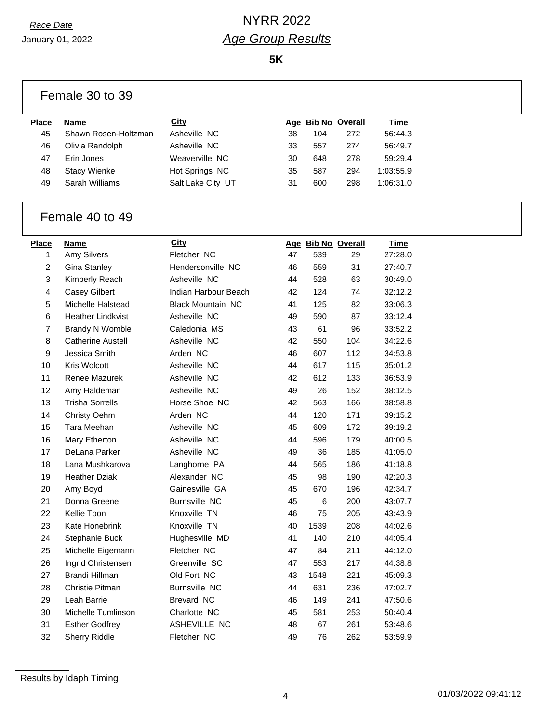$\sqrt{ }$ 

# *Race Date* NYRR 2022 *Age Group Results*

|                 | Female 30 to 39          |                          |    |       |                    |             |  |
|-----------------|--------------------------|--------------------------|----|-------|--------------------|-------------|--|
| Place           | <b>Name</b>              | City                     |    |       | Age Bib No Overall | <b>Time</b> |  |
| 45              | Shawn Rosen-Holtzman     | Asheville NC             | 38 | 104   | 272                | 56:44.3     |  |
| 46              | Olivia Randolph          | Asheville NC             | 33 | 557   | 274                | 56:49.7     |  |
| 47              | Erin Jones               | Weaverville NC           | 30 | 648   | 278                | 59:29.4     |  |
| 48              | <b>Stacy Wienke</b>      | Hot Springs NC           | 35 | 587   | 294                | 1:03:55.9   |  |
| 49              | Sarah Williams           | Salt Lake City UT        | 31 | 600   | 298                | 1:06:31.0   |  |
|                 |                          |                          |    |       |                    |             |  |
| Female 40 to 49 |                          |                          |    |       |                    |             |  |
| <b>Place</b>    | <b>Name</b>              | <b>City</b>              |    |       | Age Bib No Overall | <b>Time</b> |  |
| 1               | Amy Silvers              | Fletcher NC              | 47 | 539   | 29                 | 27:28.0     |  |
| 2               | Gina Stanley             | Hendersonville NC        | 46 | 559   | 31                 | 27:40.7     |  |
| 3               | Kimberly Reach           | Asheville NC             | 44 | 528   | 63                 | 30:49.0     |  |
| 4               | <b>Casey Gilbert</b>     | Indian Harbour Beach     | 42 | 124   | 74                 | 32:12.2     |  |
| 5               | Michelle Halstead        | <b>Black Mountain NC</b> | 41 | 125   | 82                 | 33:06.3     |  |
| 6               | <b>Heather Lindkvist</b> | Asheville NC             | 49 | 590   | 87                 | 33:12.4     |  |
| 7               | <b>Brandy N Womble</b>   | Caledonia MS             | 43 | 61    | 96                 | 33:52.2     |  |
| 8               | <b>Catherine Austell</b> | Asheville NC             | 42 | 550   | 104                | 34:22.6     |  |
| 9               | Jessica Smith            | Arden NC                 | 46 | 607   | 112                | 34:53.8     |  |
| 10              | Kris Wolcott             | Asheville NC             | 44 | 617   | 115                | 35:01.2     |  |
| 11              | Renee Mazurek            | Asheville NC             | 42 | 612   | 133                | 36:53.9     |  |
| 12              | Amy Haldeman             | Asheville NC             | 49 | 26    | 152                | 38:12.5     |  |
| 13              | <b>Trisha Sorrells</b>   | Horse Shoe NC            | 42 | 563   | 166                | 38:58.8     |  |
| 14              | Christy Oehm             | Arden NC                 | 44 | 120   | 171                | 39:15.2     |  |
| 15              | Tara Meehan              | Asheville NC             | 45 | 609   | 172                | 39:19.2     |  |
| 16              | Mary Etherton            | Asheville NC             | 44 | 596   | 179                | 40:00.5     |  |
| 17              | DeLana Parker            | Asheville NC             | 49 | 36    | 185                | 41:05.0     |  |
| 18              | Lana Mushkarova          | Langhorne PA             | 44 | 565   | 186                | 41:18.8     |  |
| 19              | <b>Heather Dziak</b>     | Alexander NC             | 45 | 98    | 190                | 42:20.3     |  |
| 20              | Amy Boyd                 | Gainesville GA           | 45 | 670   | 196                | 42:34.7     |  |
| 21              | Donna Greene             | <b>Burnsville NC</b>     | 45 | $\,6$ | 200                | 43:07.7     |  |
| 22              | Kellie Toon              | Knoxville TN             | 46 | 75    | 205                | 43:43.9     |  |
| 23              | Kate Honebrink           | Knoxville TN             | 40 | 1539  | 208                | 44:02.6     |  |
| 24              | Stephanie Buck           | Hughesville MD           | 41 | 140   | 210                | 44:05.4     |  |
| 25              | Michelle Eigemann        | Fletcher NC              | 47 | 84    | 211                | 44:12.0     |  |
| 26              | Ingrid Christensen       | Greenville SC            | 47 | 553   | 217                | 44:38.8     |  |
| 27              | Brandi Hillman           | Old Fort NC              | 43 | 1548  | 221                | 45:09.3     |  |
| 28              | Christie Pitman          | <b>Burnsville NC</b>     | 44 | 631   | 236                | 47:02.7     |  |
| 29              | Leah Barrie              | Brevard NC               | 46 | 149   | 241                | 47:50.6     |  |
| 30              | Michelle Tumlinson       | Charlotte NC             | 45 | 581   | 253                | 50:40.4     |  |
| 31              | <b>Esther Godfrey</b>    | ASHEVILLE NC             | 48 | 67    | 261                | 53:48.6     |  |
| 32              | Sherry Riddle            | Fletcher NC              | 49 | 76    | 262                | 53:59.9     |  |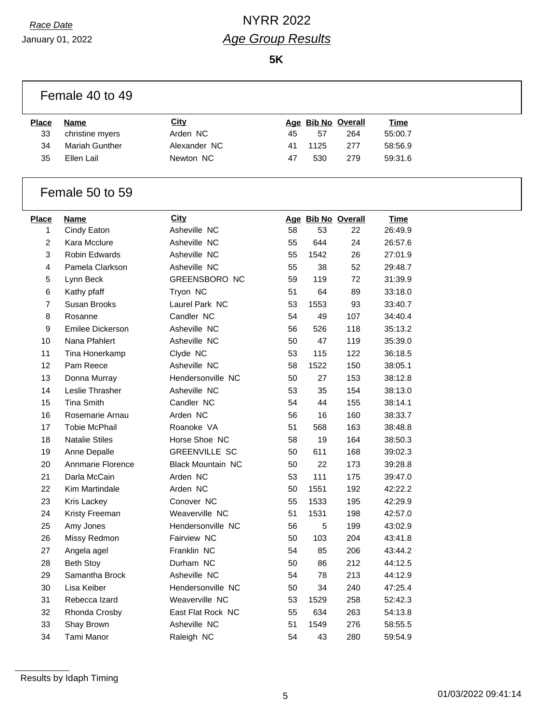## *Race Date* NYRR 2022 *Age Group Results*

|                | Female 40 to 49         |                          |    |      |                    |             |  |
|----------------|-------------------------|--------------------------|----|------|--------------------|-------------|--|
| <b>Place</b>   | <b>Name</b>             | <b>City</b>              |    |      | Age Bib No Overall | <b>Time</b> |  |
| 33             | christine myers         | Arden NC                 | 45 | 57   | 264                | 55:00.7     |  |
| 34             | Mariah Gunther          | Alexander NC             | 41 | 1125 | 277                | 58:56.9     |  |
| 35             | Ellen Lail              | Newton NC                | 47 | 530  | 279                | 59:31.6     |  |
|                | Female 50 to 59         |                          |    |      |                    |             |  |
| <b>Place</b>   | <b>Name</b>             | City                     |    |      | Age Bib No Overall | <b>Time</b> |  |
| 1              | Cindy Eaton             | Asheville NC             | 58 | 53   | 22                 | 26:49.9     |  |
| $\overline{2}$ | Kara Mcclure            | Asheville NC             | 55 | 644  | 24                 | 26:57.6     |  |
| $\mathbf{3}$   | <b>Robin Edwards</b>    | Asheville NC             | 55 | 1542 | 26                 | 27:01.9     |  |
| 4              | Pamela Clarkson         | Asheville NC             | 55 | 38   | 52                 | 29:48.7     |  |
| 5              | Lynn Beck               | <b>GREENSBORO NC</b>     | 59 | 119  | 72                 | 31:39.9     |  |
| 6              | Kathy pfaff             | Tryon NC                 | 51 | 64   | 89                 | 33:18.0     |  |
| 7              | Susan Brooks            | Laurel Park NC           | 53 | 1553 | 93                 | 33:40.7     |  |
| 8              | Rosanne                 | Candler NC               | 54 | 49   | 107                | 34:40.4     |  |
| 9              | <b>Emilee Dickerson</b> | Asheville NC             | 56 | 526  | 118                | 35:13.2     |  |
| 10             | Nana Pfahlert           | Asheville NC             | 50 | 47   | 119                | 35:39.0     |  |
| 11             | Tina Honerkamp          | Clyde NC                 | 53 | 115  | 122                | 36:18.5     |  |
| 12             | Pam Reece               | Asheville NC             | 58 | 1522 | 150                | 38:05.1     |  |
| 13             | Donna Murray            | Hendersonville NC        | 50 | 27   | 153                | 38:12.8     |  |
| 14             | Leslie Thrasher         | Asheville NC             | 53 | 35   | 154                | 38:13.0     |  |
| 15             | <b>Tina Smith</b>       | Candler NC               | 54 | 44   | 155                | 38:14.1     |  |
| 16             | Rosemarie Arnau         | Arden NC                 | 56 | 16   | 160                | 38:33.7     |  |
| 17             | <b>Tobie McPhail</b>    | Roanoke VA               | 51 | 568  | 163                | 38:48.8     |  |
| 18             | <b>Natalie Stiles</b>   | Horse Shoe NC            | 58 | 19   | 164                | 38:50.3     |  |
| 19             | Anne Depalle            | <b>GREENVILLE SC</b>     | 50 | 611  | 168                | 39:02.3     |  |
| 20             | Annmarie Florence       | <b>Black Mountain NC</b> | 50 | 22   | 173                | 39:28.8     |  |
| 21             | Darla McCain            | Arden NC                 | 53 | 111  | 175                | 39:47.0     |  |
| 22             | Kim Martindale          | Arden NC                 | 50 | 1551 | 192                | 42:22.2     |  |
| 23             | Kris Lackey             | Conover NC               | 55 | 1533 | 195                | 42:29.9     |  |
| 24             | Kristy Freeman          | Weaverville NC           | 51 | 1531 | 198                | 42:57.0     |  |
| 25             | Amy Jones               | Hendersonville NC        | 56 | 5    | 199                | 43:02.9     |  |
| 26             | Missy Redmon            | Fairview NC              | 50 | 103  | 204                | 43:41.8     |  |
| 27             | Angela agel             | Franklin NC              | 54 | 85   | 206                | 43:44.2     |  |
| 28             | <b>Beth Stoy</b>        | Durham NC                | 50 | 86   | 212                | 44:12.5     |  |
| 29             | Samantha Brock          | Asheville NC             | 54 | 78   | 213                | 44:12.9     |  |
| 30             | Lisa Keiber             | Hendersonville NC        | 50 | 34   | 240                | 47:25.4     |  |
| 31             | Rebecca Izard           | Weaverville NC           | 53 | 1529 | 258                | 52:42.3     |  |
| 32             | Rhonda Crosby           | East Flat Rock NC        | 55 | 634  | 263                | 54:13.8     |  |
| 33             | Shay Brown              | Asheville NC             | 51 | 1549 | 276                | 58:55.5     |  |
| 34             | Tami Manor              | Raleigh NC               | 54 | 43   | 280                | 59:54.9     |  |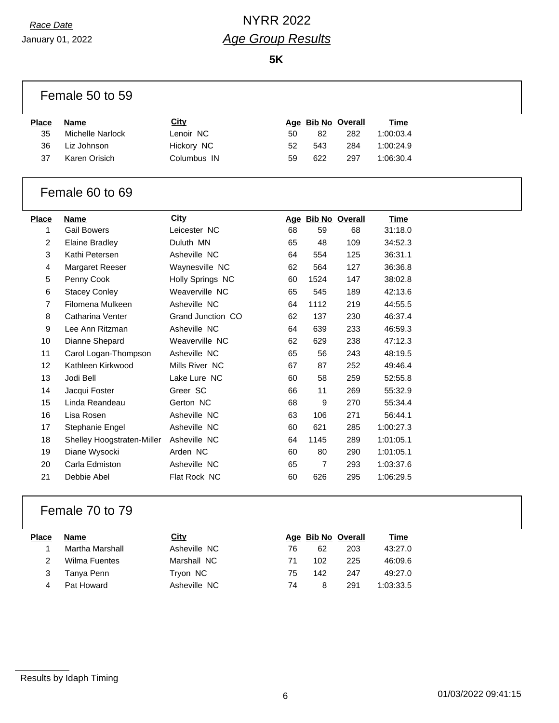## *Race Date* NYRR 2022 *Age Group Results*

**5K**

|              | Female 50 to 59            |                   |    |                |                    |             |  |
|--------------|----------------------------|-------------------|----|----------------|--------------------|-------------|--|
| <b>Place</b> | <b>Name</b>                | City              |    |                | Age Bib No Overall | <b>Time</b> |  |
| 35           | <b>Michelle Narlock</b>    | Lenoir NC         | 50 | 82             | 282                | 1:00:03.4   |  |
| 36           | Liz Johnson                | Hickory NC        | 52 | 543            | 284                | 1:00:24.9   |  |
| 37           | Karen Orisich              | Columbus IN       | 59 | 622            | 297                | 1:06:30.4   |  |
|              | Female 60 to 69            |                   |    |                |                    |             |  |
| <b>Place</b> | <b>Name</b>                | City              |    |                | Age Bib No Overall | <b>Time</b> |  |
| 1            | <b>Gail Bowers</b>         | Leicester NC      | 68 | 59             | 68                 | 31:18.0     |  |
| 2            | <b>Elaine Bradley</b>      | Duluth MN         | 65 | 48             | 109                | 34:52.3     |  |
| 3            | Kathi Petersen             | Asheville NC      | 64 | 554            | 125                | 36:31.1     |  |
| 4            | <b>Margaret Reeser</b>     | Waynesville NC    | 62 | 564            | 127                | 36:36.8     |  |
| 5            | Penny Cook                 | Holly Springs NC  | 60 | 1524           | 147                | 38:02.8     |  |
| 6            | <b>Stacey Conley</b>       | Weaverville NC    | 65 | 545            | 189                | 42:13.6     |  |
| 7            | Filomena Mulkeen           | Asheville NC      | 64 | 1112           | 219                | 44:55.5     |  |
| 8            | Catharina Venter           | Grand Junction CO | 62 | 137            | 230                | 46:37.4     |  |
| 9            | Lee Ann Ritzman            | Asheville NC      | 64 | 639            | 233                | 46:59.3     |  |
| 10           | Dianne Shepard             | Weaverville NC    | 62 | 629            | 238                | 47:12.3     |  |
| 11           | Carol Logan-Thompson       | Asheville NC      | 65 | 56             | 243                | 48:19.5     |  |
| 12           | Kathleen Kirkwood          | Mills River NC    | 67 | 87             | 252                | 49:46.4     |  |
| 13           | Jodi Bell                  | Lake Lure NC      | 60 | 58             | 259                | 52:55.8     |  |
| 14           | Jacqui Foster              | Greer SC          | 66 | 11             | 269                | 55:32.9     |  |
| 15           | Linda Reandeau             | Gerton NC         | 68 | 9              | 270                | 55:34.4     |  |
| 16           | Lisa Rosen                 | Asheville NC      | 63 | 106            | 271                | 56:44.1     |  |
| 17           | Stephanie Engel            | Asheville NC      | 60 | 621            | 285                | 1:00:27.3   |  |
| 18           | Shelley Hoogstraten-Miller | Asheville NC      | 64 | 1145           | 289                | 1:01:05.1   |  |
| 19           | Diane Wysocki              | Arden NC          | 60 | 80             | 290                | 1:01:05.1   |  |
| 20           | Carla Edmiston             | Asheville NC      | 65 | $\overline{7}$ | 293                | 1:03:37.6   |  |
| 21           | Debbie Abel                | Flat Rock NC      | 60 | 626            | 295                | 1:06:29.5   |  |
|              |                            |                   |    |                |                    |             |  |

## Female 70 to 79

| Place | Name            | City         |    | Age Bib No Overall |     | Time      |
|-------|-----------------|--------------|----|--------------------|-----|-----------|
|       | Martha Marshall | Asheville NC | 76 | 62                 | 203 | 43:27.0   |
|       | Wilma Fuentes   | Marshall NC  | 71 | 102                | 225 | 46:09.6   |
|       | Tanya Penn      | Tryon NC     | 75 | 142                | 247 | 49:27.0   |
|       | Pat Howard      | Asheville NC | 74 | 8                  | 291 | 1:03:33.5 |
|       |                 |              |    |                    |     |           |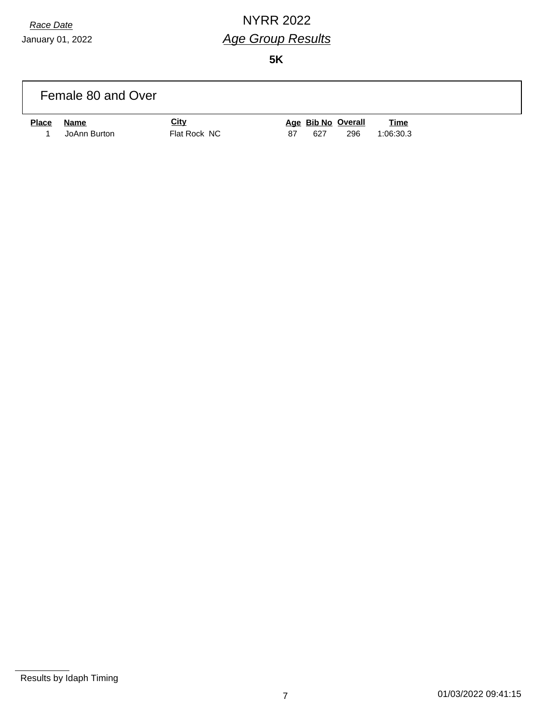## *Race Date* NYRR 2022 *Age Group Results*

|              | Female 80 and Over |              |    |     |                    |             |  |
|--------------|--------------------|--------------|----|-----|--------------------|-------------|--|
| <b>Place</b> | Name               | <b>City</b>  |    |     | Age Bib No Overall | <b>Time</b> |  |
|              | JoAnn Burton       | Flat Rock NC | 87 | 627 | 296                | 1:06:30.3   |  |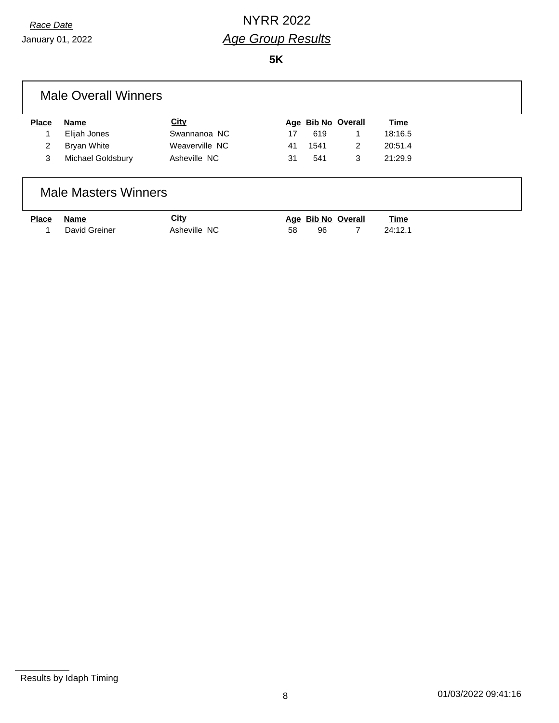January 01, 2022

**5K**

### Male Overall Winners

| Place | Name              | City           |    |      | Age Bib No Overall | <u>Time</u> |
|-------|-------------------|----------------|----|------|--------------------|-------------|
|       | Elijah Jones      | Swannanoa NC   | 17 | 619  |                    | 18:16.5     |
|       | Bryan White       | Weaverville NC | 41 | 1541 |                    | 20:51.4     |
|       | Michael Goldsbury | Asheville NC   | 31 | 541  | -3                 | 21:29.9     |

### Male Masters Winners

| <u>Place</u> | Name            | <u>City</u>  |     | Age Bib No Overall | Time    |
|--------------|-----------------|--------------|-----|--------------------|---------|
|              | 1 David Greiner | Asheville NC | 58. |                    | 24:12.1 |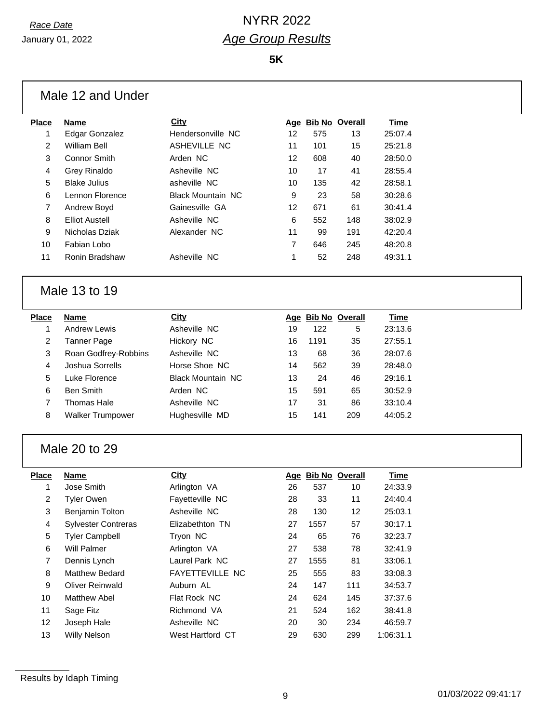| <b>Place</b> | <b>Name</b>                | <b>City</b>              |    |      | Age Bib No Overall | <b>Time</b> |
|--------------|----------------------------|--------------------------|----|------|--------------------|-------------|
| 1            | <b>Edgar Gonzalez</b>      | Hendersonville NC        | 12 | 575  | 13                 | 25:07.4     |
| 2            | <b>William Bell</b>        | ASHEVILLE NC             | 11 | 101  | 15                 | 25:21.8     |
| 3            | <b>Connor Smith</b>        | Arden NC                 | 12 | 608  | 40                 | 28:50.0     |
| 4            | <b>Grey Rinaldo</b>        | Asheville NC             | 10 | 17   | 41                 | 28:55.4     |
| 5            | <b>Blake Julius</b>        | asheville NC             | 10 | 135  | 42                 | 28:58.1     |
| 6            | Lennon Florence            | <b>Black Mountain NC</b> | 9  | 23   | 58                 | 30:28.6     |
| 7            | Andrew Boyd                | Gainesville GA           | 12 | 671  | 61                 | 30:41.4     |
| 8            | <b>Elliot Austell</b>      | Asheville NC             | 6  | 552  | 148                | 38:02.9     |
| 9            | Nicholas Dziak             | Alexander NC             | 11 | 99   | 191                | 42:20.4     |
| 10           | Fabian Lobo                |                          | 7  | 646  | 245                | 48:20.8     |
| 11           | Ronin Bradshaw             | Asheville NC             | 1  | 52   | 248                | 49:31.1     |
|              | Male 13 to 19              |                          |    |      |                    |             |
| <b>Place</b> | Name                       | City                     |    |      | Age Bib No Overall | <b>Time</b> |
| 1            | <b>Andrew Lewis</b>        | Asheville NC             | 19 | 122  | 5                  | 23:13.6     |
| 2            | <b>Tanner Page</b>         | Hickory NC               | 16 | 1191 | 35                 | 27:55.1     |
| 3            | Roan Godfrey-Robbins       | Asheville NC             | 13 | 68   | 36                 | 28:07.6     |
| 4            | Joshua Sorrells            | Horse Shoe NC            | 14 | 562  | 39                 | 28:48.0     |
| 5            | Luke Florence              | <b>Black Mountain NC</b> | 13 | 24   | 46                 | 29:16.1     |
| 6            | <b>Ben Smith</b>           | Arden NC                 | 15 | 591  | 65                 | 30:52.9     |
| 7            | <b>Thomas Hale</b>         | Asheville NC             | 17 | 31   | 86                 | 33:10.4     |
| 8            | <b>Walker Trumpower</b>    | Hughesville MD           | 15 | 141  | 209                | 44:05.2     |
|              | Male 20 to 29              |                          |    |      |                    |             |
| <b>Place</b> | <b>Name</b>                | City                     |    |      | Age Bib No Overall | <b>Time</b> |
| 1            | Jose Smith                 | Arlington VA             | 26 | 537  | 10                 | 24:33.9     |
| 2            | <b>Tyler Owen</b>          | Fayetteville NC          | 28 | 33   | 11                 | 24:40.4     |
| 3            | Benjamin Tolton            | Asheville NC             | 28 | 130  | 12                 | 25:03.1     |
| 4            | <b>Sylvester Contreras</b> | Elizabethton TN          | 27 | 1557 | 57                 | 30:17.1     |
| 5            | <b>Tyler Campbell</b>      | Tryon NC                 | 24 | 65   | 76                 | 32:23.7     |
| 6            | Will Palmer                | Arlington VA             | 27 | 538  | 78                 | 32:41.9     |
| 7            | Dennis Lynch               | Laurel Park NC           | 27 | 1555 | 81                 | 33:06.1     |
| 8            | Matthew Bedard             | FAYETTEVILLE NC          | 25 | 555  | 83                 | 33:08.3     |
| 9            | Oliver Reinwald            | Auburn AL                | 24 | 147  | 111                | 34:53.7     |
| 10           | <b>Matthew Abel</b>        | Flat Rock NC             | 24 | 624  | 145                | 37:37.6     |
|              |                            |                          |    |      |                    |             |
| 11           | Sage Fitz                  | Richmond VA              | 21 | 524  | 162                | 38:41.8     |
| 12           | Joseph Hale                | Asheville NC             | 20 | 30   | 234                | 46:59.7     |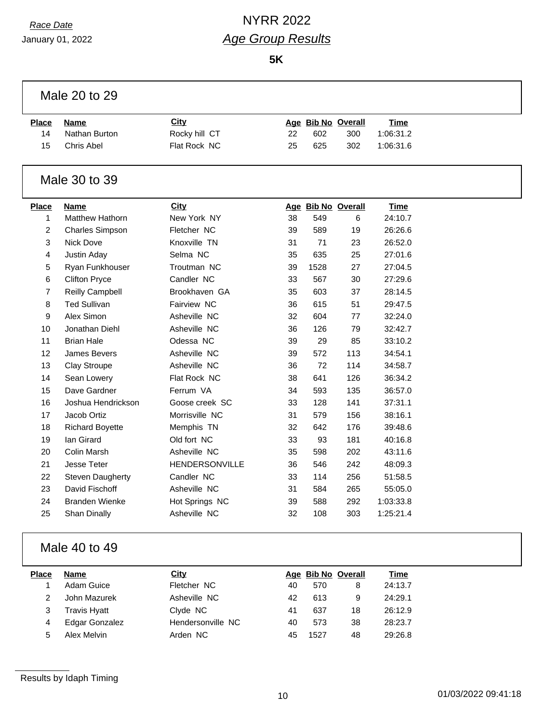## *Race Date* NYRR 2022 *Age Group Results*

**5K**

| Male 20 to 29  |                         |                |    |      |                    |             |
|----------------|-------------------------|----------------|----|------|--------------------|-------------|
| <b>Place</b>   | <b>Name</b>             | <b>City</b>    |    |      | Age Bib No Overall | <b>Time</b> |
| 14             | Nathan Burton           | Rocky hill CT  | 22 | 602  | 300                | 1:06:31.2   |
| 15             | Chris Abel              | Flat Rock NC   | 25 | 625  | 302                | 1:06:31.6   |
|                | Male 30 to 39           |                |    |      |                    |             |
| <b>Place</b>   | Name                    | <b>City</b>    |    |      | Age Bib No Overall | <b>Time</b> |
| 1              | <b>Matthew Hathorn</b>  | New York NY    | 38 | 549  | 6                  | 24:10.7     |
| $\overline{c}$ | <b>Charles Simpson</b>  | Fletcher NC    | 39 | 589  | 19                 | 26:26.6     |
| 3              | Nick Dove               | Knoxville TN   | 31 | 71   | 23                 | 26:52.0     |
| 4              | Justin Aday             | Selma NC       | 35 | 635  | 25                 | 27:01.6     |
| 5              | Ryan Funkhouser         | Troutman NC    | 39 | 1528 | 27                 | 27:04.5     |
| 6              | <b>Clifton Pryce</b>    | Candler NC     | 33 | 567  | 30                 | 27:29.6     |
| $\overline{7}$ | Reilly Campbell         | Brookhaven GA  | 35 | 603  | 37                 | 28:14.5     |
| 8              | <b>Ted Sullivan</b>     | Fairview NC    | 36 | 615  | 51                 | 29:47.5     |
| 9              | Alex Simon              | Asheville NC   | 32 | 604  | 77                 | 32:24.0     |
| 10             | Jonathan Diehl          | Asheville NC   | 36 | 126  | 79                 | 32:42.7     |
| 11             | <b>Brian Hale</b>       | Odessa NC      | 39 | 29   | 85                 | 33:10.2     |
| 12             | James Bevers            | Asheville NC   | 39 | 572  | 113                | 34:54.1     |
| 13             | <b>Clay Stroupe</b>     | Asheville NC   | 36 | 72   | 114                | 34:58.7     |
| 14             | Sean Lowery             | Flat Rock NC   | 38 | 641  | 126                | 36:34.2     |
| 15             | Dave Gardner            | Ferrum VA      | 34 | 593  | 135                | 36:57.0     |
| 16             | Joshua Hendrickson      | Goose creek SC | 33 | 128  | 141                | 37:31.1     |
| 17             | Jacob Ortiz             | Morrisville NC | 31 | 579  | 156                | 38:16.1     |
| 18             | <b>Richard Boyette</b>  | Memphis TN     | 32 | 642  | 176                | 39:48.6     |
| 19             | lan Girard              | Old fort NC    | 33 | 93   | 181                | 40:16.8     |
| 20             | Colin Marsh             | Asheville NC   | 35 | 598  | 202                | 43:11.6     |
| 21             | <b>Jesse Teter</b>      | HENDERSONVILLE | 36 | 546  | 242                | 48:09.3     |
| 22             | <b>Steven Daugherty</b> | Candler NC     | 33 | 114  | 256                | 51:58.5     |
| 23             | David Fischoff          | Asheville NC   | 31 | 584  | 265                | 55:05.0     |
| 24             | <b>Branden Wienke</b>   | Hot Springs NC | 39 | 588  | 292                | 1:03:33.8   |
| 25             | Shan Dinally            | Asheville NC   | 32 | 108  | 303                | 1:25:21.4   |
|                |                         |                |    |      |                    |             |

### Male 40 to 49

| Place | <b>Name</b>           | City              |    | Age Bib No Overall |    | Time    |
|-------|-----------------------|-------------------|----|--------------------|----|---------|
|       | Adam Guice            | Fletcher NC       | 40 | 570                |    | 24:13.7 |
|       | John Mazurek          | Asheville NC      | 42 | 613                | 9  | 24:29.1 |
|       | <b>Travis Hyatt</b>   | Clyde NC          | 41 | 637                | 18 | 26:12.9 |
| 4     | <b>Edgar Gonzalez</b> | Hendersonville NC | 40 | 573                | 38 | 28:23.7 |
| 5     | Alex Melvin           | Arden NC          | 45 | 1527               | 48 | 29:26.8 |
|       |                       |                   |    |                    |    |         |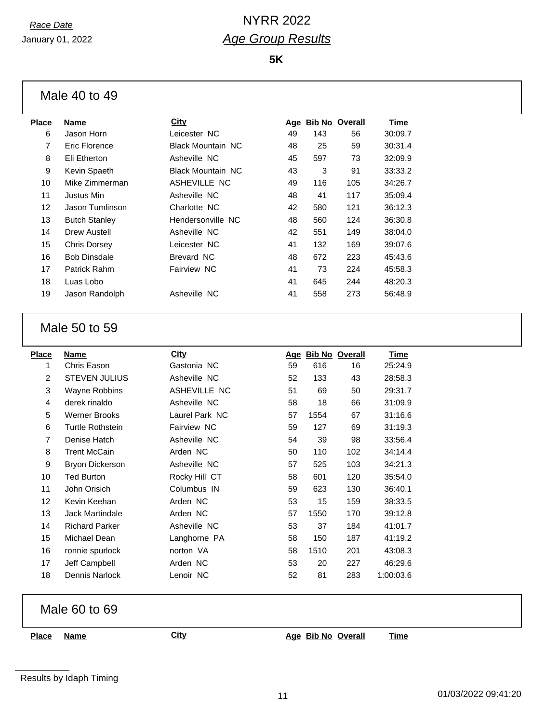January 01, 2022

**5K**

Male 40 to 49

| <b>Place</b> | <b>Name</b>          | <b>City</b>              | <u>Age</u> | <b>Bib No Overall</b> |     | Time    |
|--------------|----------------------|--------------------------|------------|-----------------------|-----|---------|
| 6            | Jason Horn           | Leicester NC             | 49         | 143                   | 56  | 30:09.7 |
| 7            | Eric Florence        | <b>Black Mountain NC</b> | 48         | 25                    | 59  | 30:31.4 |
| 8            | Eli Etherton         | Asheville NC             | 45         | 597                   | 73  | 32:09.9 |
| 9            | Kevin Spaeth         | <b>Black Mountain NC</b> | 43         | 3                     | 91  | 33:33.2 |
| 10           | Mike Zimmerman       | ASHEVILLE NC             | 49         | 116                   | 105 | 34:26.7 |
| 11           | Justus Min           | Asheville NC             | 48         | 41                    | 117 | 35:09.4 |
| 12           | Jason Tumlinson      | Charlotte NC             | 42         | 580                   | 121 | 36:12.3 |
| 13           | <b>Butch Stanley</b> | Hendersonville NC        | 48         | 560                   | 124 | 36:30.8 |
| 14           | Drew Austell         | Asheville NC             | 42         | 551                   | 149 | 38:04.0 |
| 15           | Chris Dorsey         | Leicester NC             | 41         | 132                   | 169 | 39:07.6 |
| 16           | <b>Bob Dinsdale</b>  | Brevard NC               | 48         | 672                   | 223 | 45:43.6 |
| 17           | Patrick Rahm         | Fairview NC              | 41         | 73                    | 224 | 45:58.3 |
| 18           | Luas Lobo            |                          | 41         | 645                   | 244 | 48:20.3 |
| 19           | Jason Randolph       | Asheville NC             | 41         | 558                   | 273 | 56:48.9 |
|              |                      |                          |            |                       |     |         |

#### Male 50 to 59

| <b>Place</b>    | Name                    | <b>City</b>    | Age |      | <b>Bib No Overall</b> | Time      |
|-----------------|-------------------------|----------------|-----|------|-----------------------|-----------|
| 1               | Chris Eason             | Gastonia NC    | 59  | 616  | 16                    | 25:24.9   |
| 2               | <b>STEVEN JULIUS</b>    | Asheville NC   | 52  | 133  | 43                    | 28:58.3   |
| 3               | Wayne Robbins           | ASHEVILLE NC   | 51  | 69   | 50                    | 29:31.7   |
| 4               | derek rinaldo           | Asheville NC   | 58  | 18   | 66                    | 31:09.9   |
| 5               | <b>Werner Brooks</b>    | Laurel Park NC | 57  | 1554 | 67                    | 31:16.6   |
| 6               | <b>Turtle Rothstein</b> | Fairview NC    | 59  | 127  | 69                    | 31:19.3   |
| $\overline{7}$  | Denise Hatch            | Asheville NC   | 54  | 39   | 98                    | 33:56.4   |
| 8               | <b>Trent McCain</b>     | Arden NC       | 50  | 110  | 102                   | 34:14.4   |
| 9               | <b>Bryon Dickerson</b>  | Asheville NC   | 57  | 525  | 103                   | 34:21.3   |
| 10              | Ted Burton              | Rocky Hill CT  | 58  | 601  | 120                   | 35:54.0   |
| 11              | John Orisich            | Columbus IN    | 59  | 623  | 130                   | 36:40.1   |
| 12 <sup>2</sup> | Kevin Keehan            | Arden NC       | 53  | 15   | 159                   | 38:33.5   |
| 13              | <b>Jack Martindale</b>  | Arden NC       | 57  | 1550 | 170                   | 39:12.8   |
| 14              | <b>Richard Parker</b>   | Asheville NC   | 53  | 37   | 184                   | 41:01.7   |
| 15              | Michael Dean            | Langhorne PA   | 58  | 150  | 187                   | 41:19.2   |
| 16              | ronnie spurlock         | norton VA      | 58  | 1510 | 201                   | 43:08.3   |
| 17              | Jeff Campbell           | Arden NC       | 53  | 20   | 227                   | 46:29.6   |
| 18              | Dennis Narlock          | Lenoir NC      | 52  | 81   | 283                   | 1:00:03.6 |

Male 60 to 69

**Place Name City Age Bib No Overall Time**